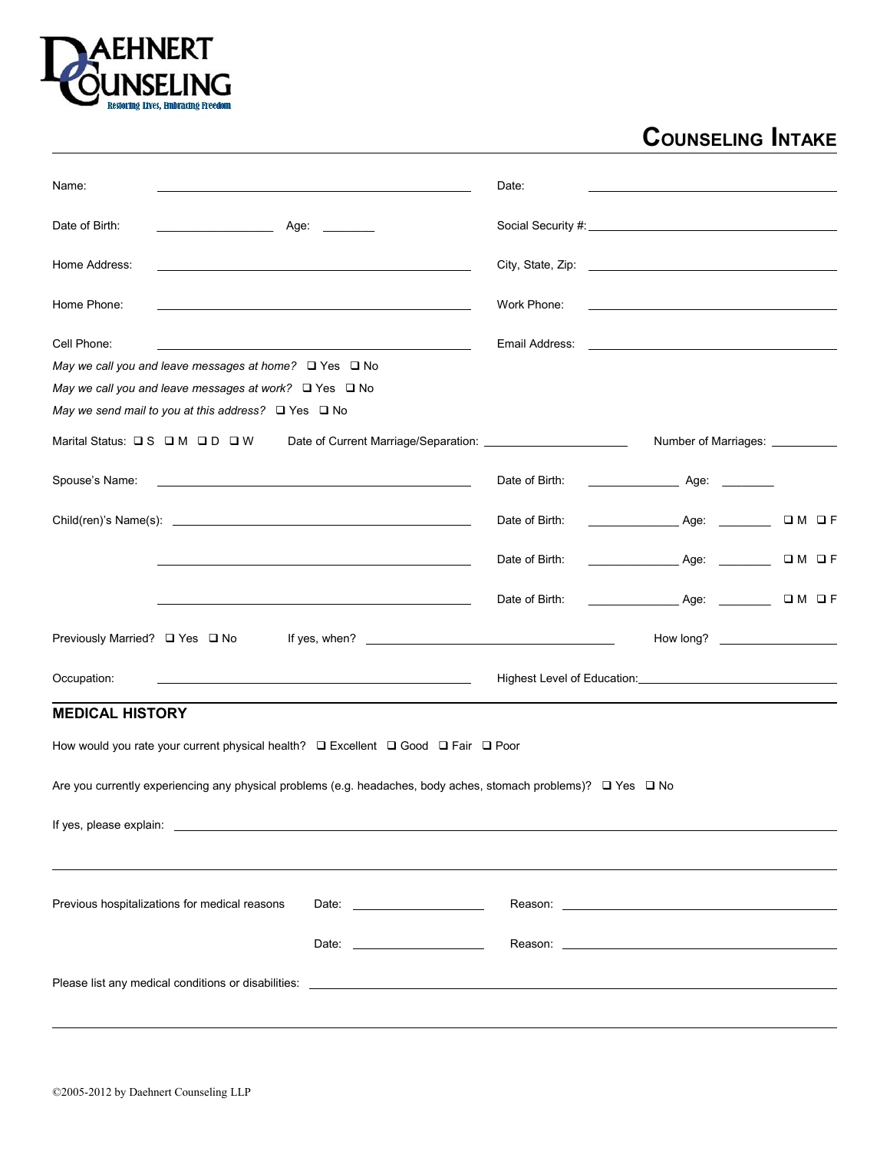

## **COUNSELING INTAKE**

| Name:                                                                                                                     |                                                                                                                                                                                                                                                                                      | Date:          |                                                                                                                                                                                                                                |         |
|---------------------------------------------------------------------------------------------------------------------------|--------------------------------------------------------------------------------------------------------------------------------------------------------------------------------------------------------------------------------------------------------------------------------------|----------------|--------------------------------------------------------------------------------------------------------------------------------------------------------------------------------------------------------------------------------|---------|
| Date of Birth:<br>the control of the control of the                                                                       | Age: ________                                                                                                                                                                                                                                                                        |                |                                                                                                                                                                                                                                |         |
| Home Address:                                                                                                             |                                                                                                                                                                                                                                                                                      |                |                                                                                                                                                                                                                                |         |
| Home Phone:                                                                                                               | the control of the control of the control of the control of the control of the control of                                                                                                                                                                                            | Work Phone:    | the control of the control of the control of the control of the control of                                                                                                                                                     |         |
| Cell Phone:<br>May we call you and leave messages at home? $\Box$ Yes $\Box$ No                                           |                                                                                                                                                                                                                                                                                      |                | Email Address: Email Address:                                                                                                                                                                                                  |         |
| May we call you and leave messages at work? $\Box$ Yes $\Box$ No                                                          |                                                                                                                                                                                                                                                                                      |                |                                                                                                                                                                                                                                |         |
| May we send mail to you at this address? $\Box$ Yes $\Box$ No                                                             |                                                                                                                                                                                                                                                                                      |                |                                                                                                                                                                                                                                |         |
| Marital Status: QS QM QD QW                                                                                               |                                                                                                                                                                                                                                                                                      |                | Number of Marriages: ____________                                                                                                                                                                                              |         |
| Spouse's Name:                                                                                                            | <u>some started and the started and the started and the started and the started and the started and the started and</u>                                                                                                                                                              | Date of Birth: |                                                                                                                                                                                                                                |         |
|                                                                                                                           |                                                                                                                                                                                                                                                                                      | Date of Birth: | Age:                                                                                                                                                                                                                           | $OM$ OF |
|                                                                                                                           | the control of the control of the control of the control of the control of the control of the control of the control of the control of the control of the control of the control of the control of the control of the control                                                        | Date of Birth: |                                                                                                                                                                                                                                | $OM$ OF |
|                                                                                                                           |                                                                                                                                                                                                                                                                                      | Date of Birth: | Age:                                                                                                                                                                                                                           | $OM$ OF |
| Previously Married? □ Yes □ No                                                                                            | If yes, when? $\sqrt{2}$ and $\sqrt{2}$ and $\sqrt{2}$ and $\sqrt{2}$ and $\sqrt{2}$ and $\sqrt{2}$ and $\sqrt{2}$ and $\sqrt{2}$ and $\sqrt{2}$ and $\sqrt{2}$ and $\sqrt{2}$ and $\sqrt{2}$ and $\sqrt{2}$ and $\sqrt{2}$ and $\sqrt{2}$ and $\sqrt{2}$ and $\sqrt{2}$ and $\sqrt$ |                |                                                                                                                                                                                                                                |         |
| Occupation:                                                                                                               | <u> 2000 - Andrea Andrew Maria (h. 18</u>                                                                                                                                                                                                                                            |                | Highest Level of Education: National Property of Education Control Control Control Control Control Control Control Control Control Control Control Control Control Control Control Control Control Control Control Control Con |         |
| <b>MEDICAL HISTORY</b>                                                                                                    |                                                                                                                                                                                                                                                                                      |                |                                                                                                                                                                                                                                |         |
| How would you rate your current physical health? □ Excellent □ Good □ Fair □ Poor                                         |                                                                                                                                                                                                                                                                                      |                |                                                                                                                                                                                                                                |         |
| Are you currently experiencing any physical problems (e.g. headaches, body aches, stomach problems)? $\Box$ Yes $\Box$ No |                                                                                                                                                                                                                                                                                      |                |                                                                                                                                                                                                                                |         |
|                                                                                                                           |                                                                                                                                                                                                                                                                                      |                |                                                                                                                                                                                                                                |         |
| Previous hospitalizations for medical reasons                                                                             | Date: $\frac{1}{2}$                                                                                                                                                                                                                                                                  |                |                                                                                                                                                                                                                                |         |
|                                                                                                                           | Date: <u>____________________</u>                                                                                                                                                                                                                                                    |                |                                                                                                                                                                                                                                |         |
|                                                                                                                           |                                                                                                                                                                                                                                                                                      |                |                                                                                                                                                                                                                                |         |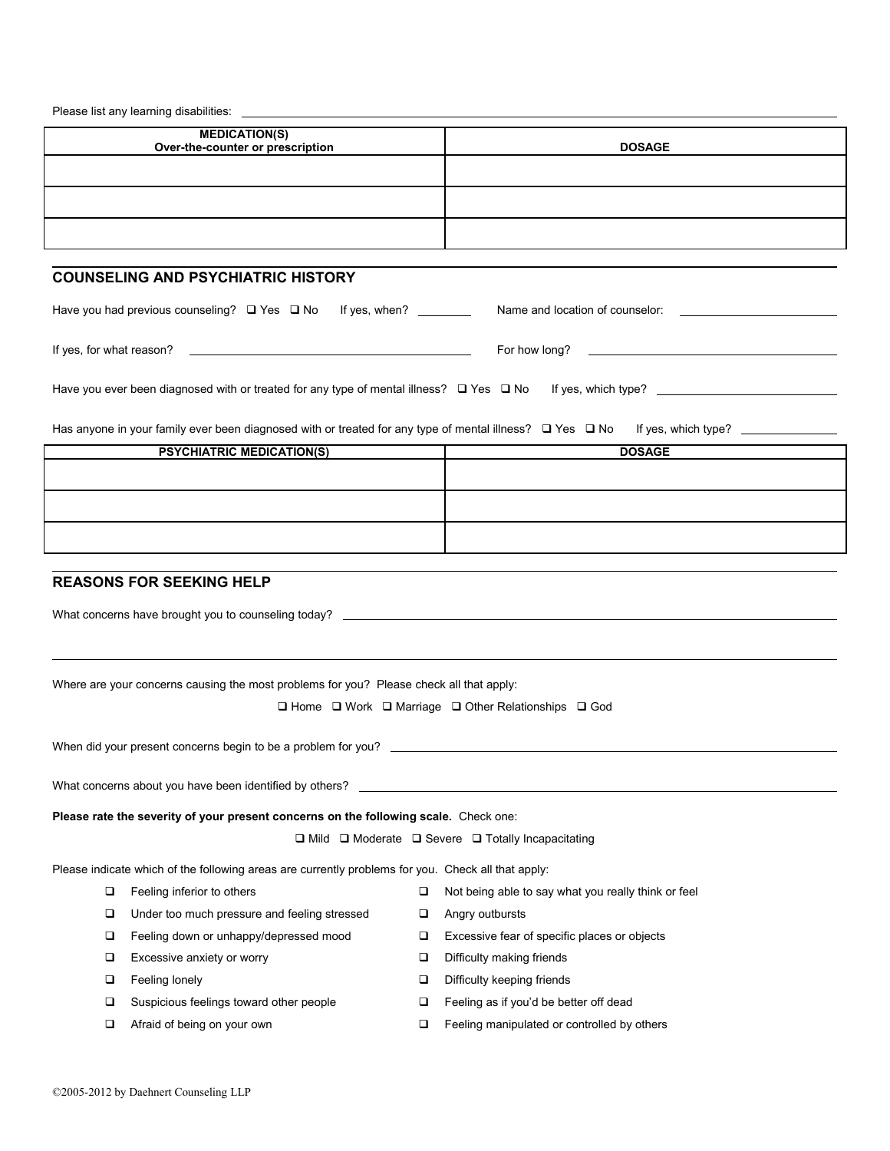| MEDICATION(S)<br>Over-the-counter or prescription | <b>DOSAGE</b> |
|---------------------------------------------------|---------------|
|                                                   |               |
|                                                   |               |
|                                                   |               |

## **COUNSELING AND PSYCHIATRIC HISTORY**

| Have you had previous counseling? $\Box$ Yes $\Box$ No<br>If yes, when?                                 | Name and location of counselor: |  |
|---------------------------------------------------------------------------------------------------------|---------------------------------|--|
| If yes, for what reason?                                                                                | For how long?                   |  |
| Have you ever been diagnosed with or treated for any type of mental illness? $\square$ Yes $\square$ No | If yes, which type?             |  |

Has anyone in your family ever been diagnosed with or treated for any type of mental illness? Yes No If yes, which type?

| <b>PSYCHIATRIC MEDICATION(S)</b> | <b>DOSAGE</b> |
|----------------------------------|---------------|
|                                  |               |
|                                  |               |
|                                  |               |
|                                  |               |
|                                  |               |
|                                  |               |

## **REASONS FOR SEEKING HELP**

| What concerns have brought you to counseling today?                                                |                                                                               |                                                                                         |        |                                                     |
|----------------------------------------------------------------------------------------------------|-------------------------------------------------------------------------------|-----------------------------------------------------------------------------------------|--------|-----------------------------------------------------|
|                                                                                                    |                                                                               |                                                                                         |        |                                                     |
|                                                                                                    |                                                                               |                                                                                         |        |                                                     |
|                                                                                                    |                                                                               | Where are your concerns causing the most problems for you? Please check all that apply: |        |                                                     |
|                                                                                                    | $\Box$ Home $\Box$ Work $\Box$ Marriage $\Box$ Other Relationships $\Box$ God |                                                                                         |        |                                                     |
| When did your present concerns begin to be a problem for you?                                      |                                                                               |                                                                                         |        |                                                     |
|                                                                                                    |                                                                               |                                                                                         |        |                                                     |
| Please rate the severity of your present concerns on the following scale. Check one:               |                                                                               |                                                                                         |        |                                                     |
| $\Box$ Mild $\Box$ Moderate $\Box$ Severe $\Box$ Totally Incapacitating                            |                                                                               |                                                                                         |        |                                                     |
| Please indicate which of the following areas are currently problems for you. Check all that apply: |                                                                               |                                                                                         |        |                                                     |
|                                                                                                    | □                                                                             | Feeling inferior to others                                                              | $\Box$ | Not being able to say what you really think or feel |
|                                                                                                    | □                                                                             | Under too much pressure and feeling stressed                                            | $\Box$ | Angry outbursts                                     |
|                                                                                                    | □                                                                             | Feeling down or unhappy/depressed mood                                                  | $\Box$ | Excessive fear of specific places or objects        |
|                                                                                                    | □                                                                             | Excessive anxiety or worry                                                              | $\Box$ | Difficulty making friends                           |
|                                                                                                    | □                                                                             | Feeling lonely                                                                          | □      | Difficulty keeping friends                          |
|                                                                                                    | ◻                                                                             | Suspicious feelings toward other people                                                 | □      | Feeling as if you'd be better off dead              |
|                                                                                                    | ◻                                                                             | Afraid of being on your own                                                             | □      | Feeling manipulated or controlled by others         |
|                                                                                                    |                                                                               |                                                                                         |        |                                                     |